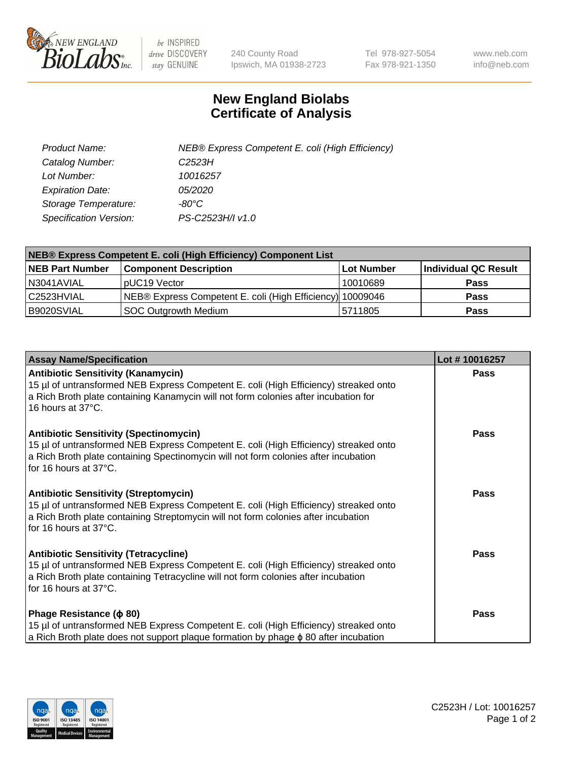

 $be$  INSPIRED drive DISCOVERY stay GENUINE

240 County Road Ipswich, MA 01938-2723 Tel 978-927-5054 Fax 978-921-1350 www.neb.com info@neb.com

## **New England Biolabs Certificate of Analysis**

| Product Name:           | NEB® Express Competent E. coli (High Efficiency) |
|-------------------------|--------------------------------------------------|
| Catalog Number:         | C <sub>2523</sub> H                              |
| Lot Number:             | 10016257                                         |
| <b>Expiration Date:</b> | <i>05/2020</i>                                   |
| Storage Temperature:    | -80°C                                            |
| Specification Version:  | PS-C2523H/I v1.0                                 |

| NEB® Express Competent E. coli (High Efficiency) Component List |                                                           |            |                      |  |
|-----------------------------------------------------------------|-----------------------------------------------------------|------------|----------------------|--|
| <b>NEB Part Number</b>                                          | <b>Component Description</b>                              | Lot Number | Individual QC Result |  |
| N3041AVIAL                                                      | pUC19 Vector                                              | 10010689   | <b>Pass</b>          |  |
| l C2523HVIAL                                                    | NEB® Express Competent E. coli (High Efficiency) 10009046 |            | <b>Pass</b>          |  |
| B9020SVIAL                                                      | <b>SOC Outgrowth Medium</b>                               | 5711805    | <b>Pass</b>          |  |

| <b>Assay Name/Specification</b>                                                                                                                                                                                                                       | Lot #10016257 |
|-------------------------------------------------------------------------------------------------------------------------------------------------------------------------------------------------------------------------------------------------------|---------------|
| <b>Antibiotic Sensitivity (Kanamycin)</b><br>15 µl of untransformed NEB Express Competent E. coli (High Efficiency) streaked onto<br>a Rich Broth plate containing Kanamycin will not form colonies after incubation for<br>16 hours at 37°C.         | <b>Pass</b>   |
| <b>Antibiotic Sensitivity (Spectinomycin)</b><br>15 µl of untransformed NEB Express Competent E. coli (High Efficiency) streaked onto<br>a Rich Broth plate containing Spectinomycin will not form colonies after incubation<br>for 16 hours at 37°C. | Pass          |
| <b>Antibiotic Sensitivity (Streptomycin)</b><br>15 µl of untransformed NEB Express Competent E. coli (High Efficiency) streaked onto<br>a Rich Broth plate containing Streptomycin will not form colonies after incubation<br>for 16 hours at 37°C.   | <b>Pass</b>   |
| <b>Antibiotic Sensitivity (Tetracycline)</b><br>15 µl of untransformed NEB Express Competent E. coli (High Efficiency) streaked onto<br>a Rich Broth plate containing Tetracycline will not form colonies after incubation<br>for 16 hours at 37°C.   | <b>Pass</b>   |
| Phage Resistance ( $\phi$ 80)<br>15 µl of untransformed NEB Express Competent E. coli (High Efficiency) streaked onto<br>a Rich Broth plate does not support plaque formation by phage $\phi$ 80 after incubation                                     | Pass          |